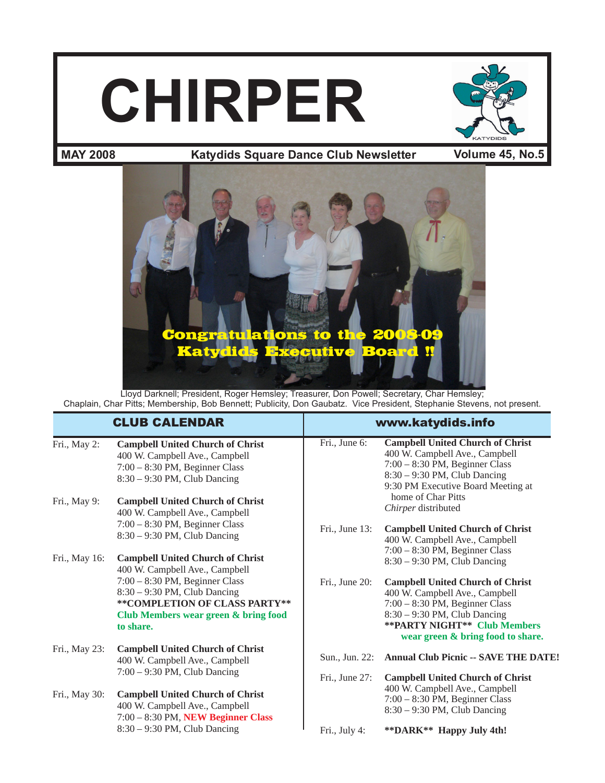# **CHIRPER**



#### **Katydids Square Dance Club Newsletter MAY 2008 Volume 45, No.5**



Lloyd Darknell; President, Roger Hemsley; Treasurer, Don Powell; Secretary, Char Hemsley; Chaplain, Char Pitts; Membership, Bob Bennett; Publicity, Don Gaubatz. Vice President, Stephanie Stevens, not present.

|               | <b>CLUB CALENDAR</b>                                                                                                                                     | www.katydids.info |                                                                                                                                                                                                                             |
|---------------|----------------------------------------------------------------------------------------------------------------------------------------------------------|-------------------|-----------------------------------------------------------------------------------------------------------------------------------------------------------------------------------------------------------------------------|
| Fri., May 2:  | <b>Campbell United Church of Christ</b><br>400 W. Campbell Ave., Campbell<br>$7:00 - 8:30$ PM, Beginner Class<br>$8:30 - 9:30$ PM, Club Dancing          | Fri., June 6:     | <b>Campbell United Church of Christ</b><br>400 W. Campbell Ave., Campbell<br>$7:00 - 8:30$ PM, Beginner Class<br>$8:30 - 9:30$ PM, Club Dancing<br>9:30 PM Executive Board Meeting at                                       |
| Fri., May 9:  | <b>Campbell United Church of Christ</b><br>400 W. Campbell Ave., Campbell                                                                                |                   | home of Char Pitts<br>Chirper distributed                                                                                                                                                                                   |
|               | 7:00 - 8:30 PM, Beginner Class<br>$8:30 - 9:30$ PM, Club Dancing                                                                                         | Fri., June 13:    | <b>Campbell United Church of Christ</b><br>400 W. Campbell Ave., Campbell<br>$7:00 - 8:30$ PM, Beginner Class                                                                                                               |
| Fri., May 16: | <b>Campbell United Church of Christ</b><br>400 W. Campbell Ave., Campbell                                                                                |                   | $8:30 - 9:30$ PM, Club Dancing                                                                                                                                                                                              |
|               | $7:00 - 8:30$ PM, Beginner Class<br>$8:30 - 9:30$ PM, Club Dancing<br>**COMPLETION OF CLASS PARTY**<br>Club Members wear green & bring food<br>to share. | Fri., June 20:    | <b>Campbell United Church of Christ</b><br>400 W. Campbell Ave., Campbell<br>$7:00 - 8:30$ PM, Beginner Class<br>$8:30 - 9:30$ PM, Club Dancing<br><b>**PARTY NIGHT** Club Members</b><br>wear green & bring food to share. |
| Fri., May 23: | <b>Campbell United Church of Christ</b><br>400 W. Campbell Ave., Campbell                                                                                | Sun., Jun. 22:    | <b>Annual Club Picnic -- SAVE THE DATE!</b>                                                                                                                                                                                 |
| Fri., May 30: | $7:00 - 9:30$ PM, Club Dancing<br><b>Campbell United Church of Christ</b><br>400 W. Campbell Ave., Campbell<br>7:00 - 8:30 PM, NEW Beginner Class        | Fri., June 27:    | <b>Campbell United Church of Christ</b><br>400 W. Campbell Ave., Campbell<br>$7:00 - 8:30$ PM, Beginner Class<br>$8:30 - 9:30$ PM, Club Dancing                                                                             |
|               | $8:30 - 9:30$ PM, Club Dancing                                                                                                                           | Fri., July 4:     | **DARK** Happy July 4th!                                                                                                                                                                                                    |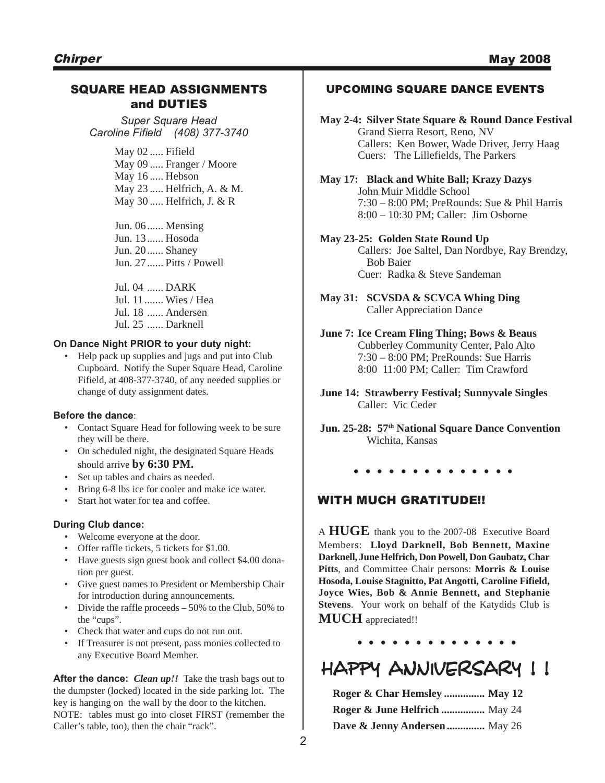#### SQUARE HEAD ASSIGNMENTS and DUTIES

*Super Square Head Caroline Fifield (408) 377-3740*

> May 02 ..... Fifield May 09 ..... Franger / Moore May 16 ..... Hebson May 23 ..... Helfrich, A. & M. May 30 ..... Helfrich, J. & R

Jun. 06...... Mensing Jun. 13...... Hosoda Jun. 20...... Shaney Jun. 27...... Pitts / Powell

Jul. 04 ...... DARK Jul. 11....... Wies / Hea Jul. 18 ...... Andersen Jul. 25 ...... Darknell

#### **On Dance Night PRIOR to your duty night:**

• Help pack up supplies and jugs and put into Club Cupboard. Notify the Super Square Head, Caroline Fifield, at 408-377-3740, of any needed supplies or change of duty assignment dates.

#### **Before the dance**:

- Contact Square Head for following week to be sure they will be there.
- On scheduled night, the designated Square Heads should arrive **by 6:30 PM.**
- Set up tables and chairs as needed.
- Bring 6-8 lbs ice for cooler and make ice water.
- Start hot water for tea and coffee.

#### **During Club dance:**

- Welcome everyone at the door.
- Offer raffle tickets, 5 tickets for \$1.00.
- Have guests sign guest book and collect \$4.00 donation per guest.
- Give guest names to President or Membership Chair for introduction during announcements.
- Divide the raffle proceeds  $-50\%$  to the Club, 50% to the "cups".
- Check that water and cups do not run out.
- If Treasurer is not present, pass monies collected to any Executive Board Member.

**After the dance:** *Clean up!!* Take the trash bags out to the dumpster (locked) located in the side parking lot. The key is hanging on the wall by the door to the kitchen. NOTE: tables must go into closet FIRST (remember the Caller's table, too), then the chair "rack".

#### UPCOMING SQUARE DANCE EVENTS

- **May 2-4: Silver State Square & Round Dance Festival** Grand Sierra Resort, Reno, NV Callers: Ken Bower, Wade Driver, Jerry Haag Cuers: The Lillefields, The Parkers
- **May 17: Black and White Ball; Krazy Dazys** John Muir Middle School 7:30 – 8:00 PM; PreRounds: Sue & Phil Harris 8:00 – 10:30 PM; Caller: Jim Osborne
- **May 23-25: Golden State Round Up** Callers: Joe Saltel, Dan Nordbye, Ray Brendzy, Bob Baier Cuer: Radka & Steve Sandeman
- **May 31: SCVSDA & SCVCA Whing Ding** Caller Appreciation Dance

#### **June 7: Ice Cream Fling Thing; Bows & Beaus** Cubberley Community Center, Palo Alto 7:30 – 8:00 PM; PreRounds: Sue Harris 8:00 11:00 PM; Caller: Tim Crawford

**June 14: Strawberry Festival; Sunnyvale Singles** Caller: Vic Ceder

**Jun. 25-28: 57th National Square Dance Convention** Wichita, Kansas

**. . . . . . . . . . . . . .**

#### WITH MUCH GRATITUDE!!

A **HUGE** thank you to the 2007-08 Executive Board Members: **Lloyd Darknell, Bob Bennett, Maxine Darknell, June Helfrich, Don Powell, Don Gaubatz, Char Pitts**, and Committee Chair persons: **Morris & Louise Hosoda, Louise Stagnitto, Pat Angotti, Caroline Fifield, Joyce Wies, Bob & Annie Bennett, and Stephanie Stevens**. Your work on behalf of the Katydids Club is **MUCH** appreciated!!

**. . . . . . . . . . . . . .**

## HAPPY ANNIVERSARY !!

| Roger & Char Hemsley  May 12  |  |
|-------------------------------|--|
| Roger & June Helfrich  May 24 |  |
| Dave & Jenny Andersen  May 26 |  |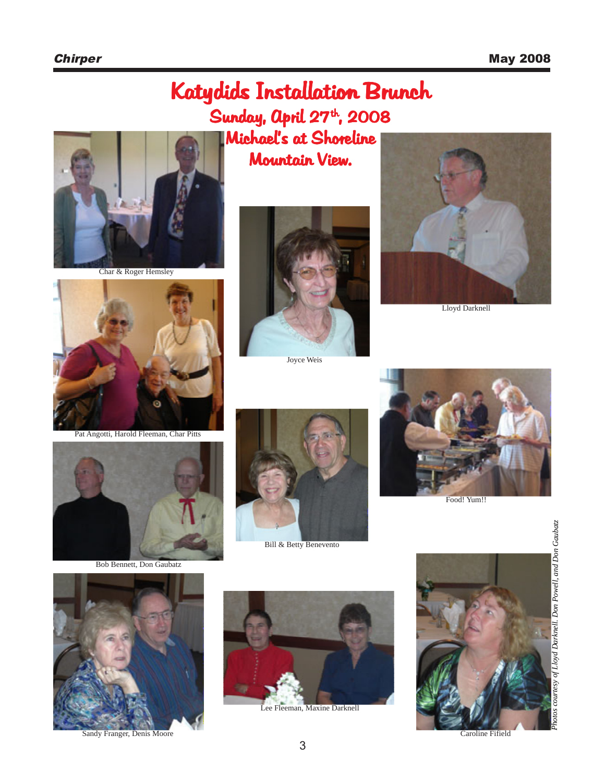# Katydids Installation Brunch Sunday, April  $27<sup>th</sup>$ , 2008 **Michael's at Shoreline**

Mountain View.



Char & Roger Hemsley



Joyce Weis



Lloyd Darknell



Bob Bennett, Don Gaubatz



Bill & Betty Benevento



Food! Yum!!





Sandy Franger, Denis Moore



Lee Fleeman, Maxine Darknell



Caroline Fifield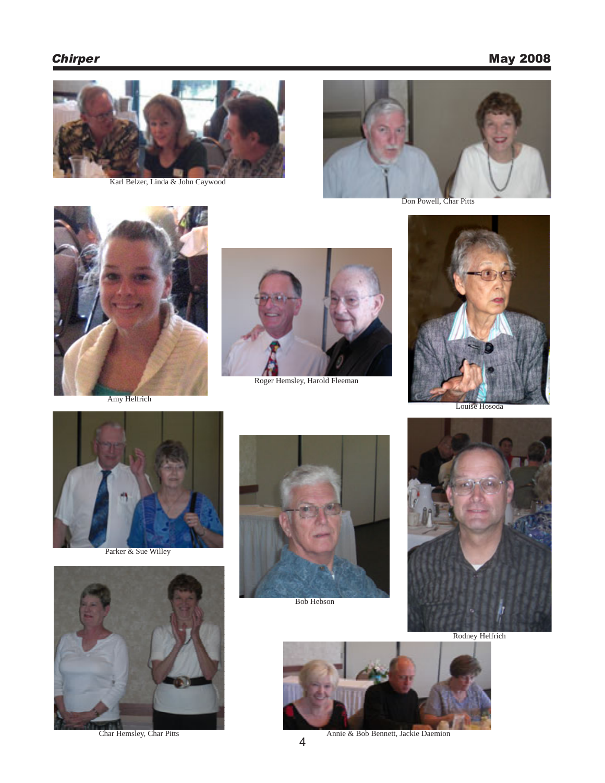## **Chirper** May 2008



Karl Belzer, Linda & John Caywood



Don Powell, Char Pitts



Amy Helfrich



Roger Hemsley, Harold Fleeman



Louise Hosoda



Parker & Sue Willey



Char Hemsley, Char Pitts



Bob Hebson



Rodney Helfrich



Annie & Bob Bennett, Jackie Daemion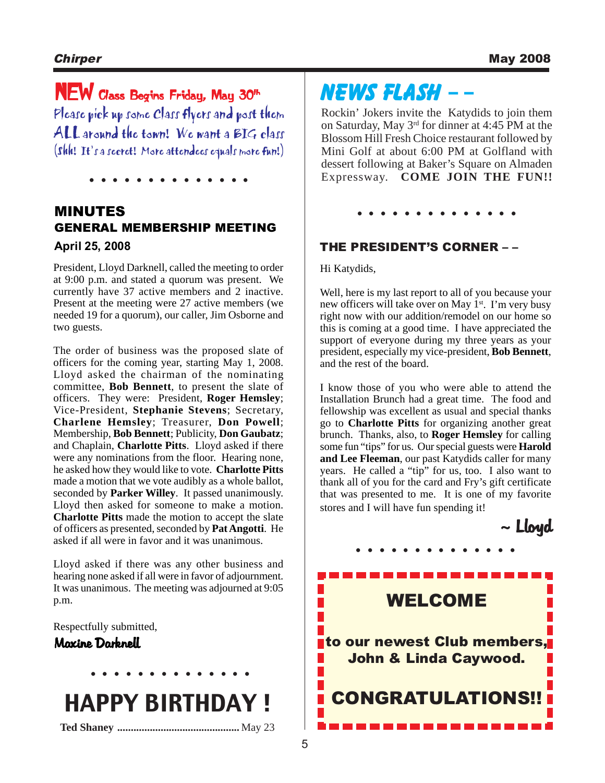# NEW Class Begins Friday, May 30th

Please pick up some Class flyers and post them ALL around the town! We want a BIG class (Shh! It's a secret! More attendees equals more fun!)

**. . . . . . . . . . . . . .**

## MINUTES GENERAL MEMBERSHIP MEETING **April 25, 2008**

President, Lloyd Darknell, called the meeting to order at 9:00 p.m. and stated a quorum was present. We currently have 37 active members and 2 inactive. Present at the meeting were 27 active members (we needed 19 for a quorum), our caller, Jim Osborne and two guests.

The order of business was the proposed slate of officers for the coming year, starting May 1, 2008. Lloyd asked the chairman of the nominating committee, **Bob Bennett**, to present the slate of officers. They were: President, **Roger Hemsley**; Vice-President, **Stephanie Stevens**; Secretary, **Charlene Hemsley**; Treasurer, **Don Powell**; Membership, **Bob Bennett**; Publicity, **Don Gaubatz**; and Chaplain, **Charlotte Pitts**. Lloyd asked if there were any nominations from the floor. Hearing none, he asked how they would like to vote. **Charlotte Pitts** made a motion that we vote audibly as a whole ballot, seconded by **Parker Willey**. It passed unanimously. Lloyd then asked for someone to make a motion. **Charlotte Pitts** made the motion to accept the slate of officers as presented, seconded by **Pat Angotti**. He asked if all were in favor and it was unanimous.

Lloyd asked if there was any other business and hearing none asked if all were in favor of adjournment. It was unanimous. The meeting was adjourned at 9:05 p.m.

Respectfully submitted,

#### Maxine Darknell

# HAPPY BIRTHDAY !

**. . . . . . . . . . . . . .**

**Ted Shaney .............................................** May 23

# NEWS FLASH – –

Rockin' Jokers invite the Katydids to join them on Saturday, May 3rd for dinner at 4:45 PM at the Blossom Hill Fresh Choice restaurant followed by Mini Golf at about 6:00 PM at Golfland with dessert following at Baker's Square on Almaden Expressway. **COME JOIN THE FUN!!**

**. . . . . . . . . . . . . .**

#### THE PRESIDENT'S CORNER – –

Hi Katydids,

Well, here is my last report to all of you because your new officers will take over on May 1<sup>st</sup>. I'm very busy right now with our addition/remodel on our home so this is coming at a good time. I have appreciated the support of everyone during my three years as your president, especially my vice-president, **Bob Bennett**, and the rest of the board.

I know those of you who were able to attend the Installation Brunch had a great time. The food and fellowship was excellent as usual and special thanks go to **Charlotte Pitts** for organizing another great brunch. Thanks, also, to **Roger Hemsley** for calling some fun "tips" for us. Our special guests were **Harold and Lee Fleeman**, our past Katydids caller for many years. He called a "tip" for us, too. I also want to thank all of you for the card and Fry's gift certificate that was presented to me. It is one of my favorite stores and I will have fun spending it!